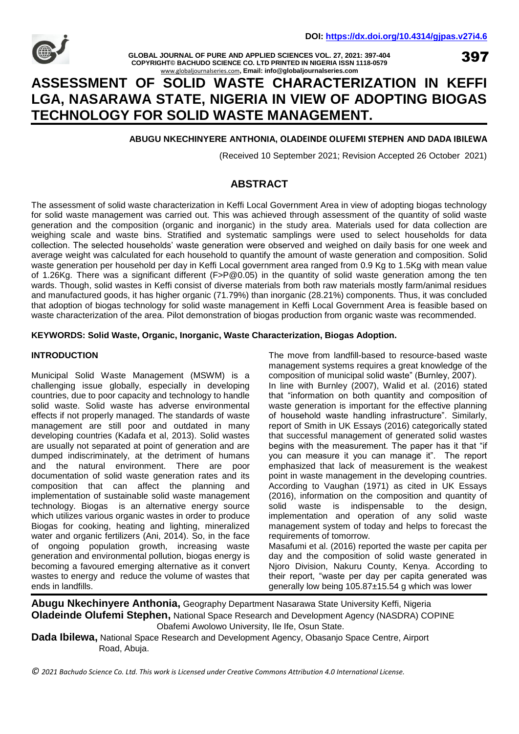

**GLOBAL JOURNAL OF PURE AND APPLIED SCIENCES VOL. 27, 2021: 397-404 COPYRIGHT© BACHUDO SCIENCE CO. LTD PRINTED IN NIGERIA ISSN 1118-0579** [www.globaljournalseries.com](http://www.globaljournalseries.com/)**, Email: info@globaljournalseries.com**

397

# **ASSESSMENT OF SOLID WASTE CHARACTERIZATION IN KEFFI LGA, NASARAWA STATE, NIGERIA IN VIEW OF ADOPTING BIOGAS TECHNOLOGY FOR SOLID WASTE MANAGEMENT.**

# **ABUGU NKECHINYERE ANTHONIA, OLADEINDE OLUFEMI STEPHEN AND DADA IBILEWA**

(Received 10 September 2021; Revision Accepted 26 October 2021)

# **ABSTRACT**

The assessment of solid waste characterization in Keffi Local Government Area in view of adopting biogas technology for solid waste management was carried out. This was achieved through assessment of the quantity of solid waste generation and the composition (organic and inorganic) in the study area. Materials used for data collection are weighing scale and waste bins. Stratified and systematic samplings were used to select households for data collection. The selected households' waste generation were observed and weighed on daily basis for one week and average weight was calculated for each household to quantify the amount of waste generation and composition. Solid waste generation per household per day in Keffi Local government area ranged from 0.9 Kg to 1.5Kg with mean value of 1.26Kg. There was a significant different (F>P@0.05) in the quantity of solid waste generation among the ten wards. Though, solid wastes in Keffi consist of diverse materials from both raw materials mostly farm/animal residues and manufactured goods, it has higher organic (71.79%) than inorganic (28.21%) components. Thus, it was concluded that adoption of biogas technology for solid waste management in Keffi Local Government Area is feasible based on waste characterization of the area. Pilot demonstration of biogas production from organic waste was recommended.

# **KEYWORDS: Solid Waste, Organic, Inorganic, Waste Characterization, Biogas Adoption.**

# **INTRODUCTION**

Municipal Solid Waste Management (MSWM) is a challenging issue globally, especially in developing countries, due to poor capacity and technology to handle solid waste. Solid waste has adverse environmental effects if not properly managed. The standards of waste management are still poor and outdated in many developing countries (Kadafa et al, 2013). Solid wastes are usually not separated at point of generation and are dumped indiscriminately, at the detriment of humans and the natural environment. There are poor documentation of solid waste generation rates and its composition that can affect the planning and implementation of sustainable solid waste management technology. Biogas is an alternative energy source which utilizes various organic wastes in order to produce Biogas for cooking, heating and lighting, mineralized water and organic fertilizers (Ani, 2014). So, in the face of ongoing population growth, increasing waste generation and environmental pollution, biogas energy is becoming a favoured emerging alternative as it convert wastes to energy and reduce the volume of wastes that ends in landfills.

The move from landfill-based to resource-based waste management systems requires a great knowledge of the composition of municipal solid waste" (Burnley, 2007). In line with Burnley (2007), Walid et al. (2016) stated that "information on both quantity and composition of waste generation is important for the effective planning of household waste handling infrastructure". Similarly, report of Smith in UK Essays (2016) categorically stated that successful management of generated solid wastes begins with the measurement. The paper has it that "if you can measure it you can manage it". The report emphasized that lack of measurement is the weakest point in waste management in the developing countries. According to Vaughan (1971) as cited in UK Essays (2016), information on the composition and quantity of solid waste is indispensable to the design, implementation and operation of any solid waste management system of today and helps to forecast the requirements of tomorrow. Masafumi et al. (2016) reported the waste per capita per

day and the composition of solid waste generated in Njoro Division, Nakuru County, Kenya. According to their report, "waste per day per capita generated was generally low being 105.87±15.54 g which was lower

**Abugu Nkechinyere Anthonia,** Geography Department Nasarawa State University Keffi, Nigeria **Oladeinde Olufemi Stephen,** National Space Research and Development Agency (NASDRA) COPINE Obafemi Awolowo University, Ile Ife, Osun State.

**Dada Ibilewa,** National Space Research and Development Agency, Obasanjo Space Centre, Airport Road, Abuja.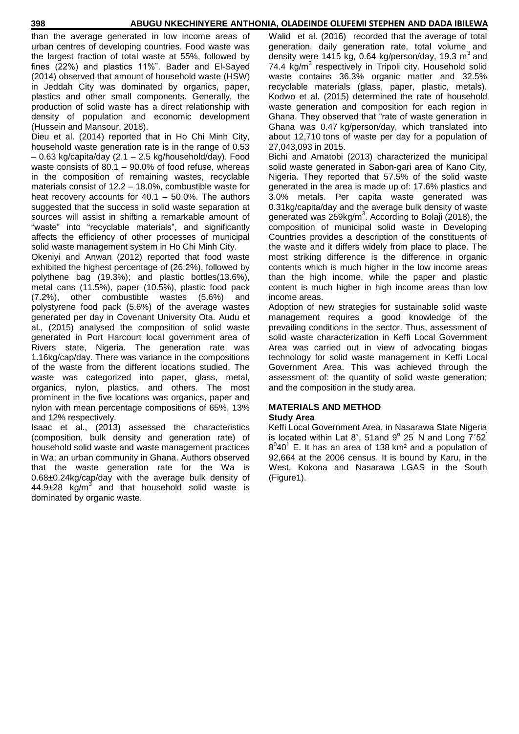#### **398 ABUGU NKECHINYERE ANTHONIA, OLADEINDE OLUFEMI STEPHEN AND DADA IBILEWA**

than the average generated in low income areas of urban centres of developing countries. Food waste was the largest fraction of total waste at 55%, followed by fines (22%) and plastics 11%". Bader and El-Sayed (2014) observed that amount of household waste (HSW) in Jeddah City was dominated by organics, paper, plastics and other small components. Generally, the production of solid waste has a direct relationship with density of population and economic development (Hussein and Mansour, 2018).

Dieu et al. (2014) reported that in Ho Chi Minh City, household waste generation rate is in the range of 0.53 – 0.63 kg/capita/day (2.1 – 2.5 kg/household/day). Food waste consists of  $80.1 - 90.0\%$  of food refuse, whereas in the composition of remaining wastes, recyclable materials consist of 12.2 – 18.0%, combustible waste for heat recovery accounts for 40.1 – 50.0%. The authors suggested that the success in solid waste separation at sources will assist in shifting a remarkable amount of "waste" into "recyclable materials", and significantly affects the efficiency of other processes of municipal solid waste management system in Ho Chi Minh City.

Okeniyi and Anwan (2012) reported that food waste exhibited the highest percentage of (26.2%), followed by polythene bag (19.3%); and plastic bottles(13.6%), metal cans (11.5%), paper (10.5%), plastic food pack (7.2%), other combustible wastes (5.6%) and polystyrene food pack (5.6%) of the average wastes generated per day in Covenant University Ota. Audu et al., (2015) analysed the composition of solid waste generated in Port Harcourt local government area of Rivers state, Nigeria. The generation rate was 1.16kg/cap/day. There was variance in the compositions of the waste from the different locations studied. The waste was categorized into paper, glass, metal, organics, nylon, plastics, and others. The most prominent in the five locations was organics, paper and nylon with mean percentage compositions of 65%, 13% and 12% respectively.

Isaac et al., (2013) assessed the characteristics (composition, bulk density and generation rate) of household solid waste and waste management practices in Wa; an urban community in Ghana. Authors observed that the waste generation rate for the Wa is 0.68±0.24kg/cap/day with the average bulk density of  $44.9\pm28$  kg/m<sup>3</sup> and that household solid waste is dominated by organic waste.

Walid et al. (2016) recorded that the average of total generation, daily generation rate, total volume and density were 1415 kg, 0.64 kg/person/day, 19.3  $m<sup>3</sup>$  and 74.4  $kg/m<sup>3</sup>$  respectively in Tripoli city. Household solid waste contains 36.3% organic matter and 32.5% recyclable materials (glass, paper, plastic, metals). Kodwo et al. (2015) determined the rate of household waste generation and composition for each region in Ghana. They observed that "rate of waste generation in Ghana was 0.47 kg/person/day, which translated into about 12,710 tons of waste per day for a population of 27,043,093 in 2015.

Bichi and Amatobi (2013) characterized the municipal solid waste generated in Sabon-gari area of Kano City, Nigeria. They reported that 57.5% of the solid waste generated in the area is made up of: 17.6% plastics and 3.0% metals. Per capita waste generated was 0.31kg/capita/day and the average bulk density of waste generated was 259kg/m<sup>3</sup>. According to Bolaji (2018), the composition of municipal solid waste in Developing Countries provides a description of the constituents of the waste and it differs widely from place to place. The most striking difference is the difference in organic contents which is much higher in the low income areas than the high income, while the paper and plastic content is much higher in high income areas than low income areas.

Adoption of new strategies for sustainable solid waste management requires a good knowledge of the prevailing conditions in the sector. Thus, assessment of solid waste characterization in Keffi Local Government Area was carried out in view of advocating biogas technology for solid waste management in Keffi Local Government Area. This was achieved through the assessment of: the quantity of solid waste generation; and the composition in the study area.

### **MATERIALS AND METHOD Study Area**

Keffi Local Government Area, in Nasarawa State Nigeria is located within Lat 8°, 51 and 9° 25<sup>'</sup> N and Long  $\overline{7}$ °52<sup>'</sup>  $8^040^1$  E. It has an area of 138 km<sup>2</sup> and a population of 92,664 at the 2006 census. It is bound by Karu, in the West, Kokona and Nasarawa LGAS in the South (Figure1).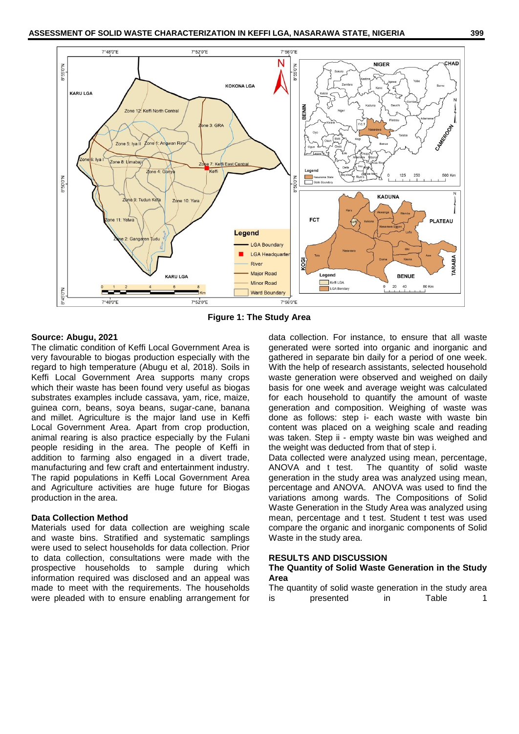

**Figure 1: The Study Area**

#### **Source: Abugu, 2021**

The climatic condition of Keffi Local Government Area is very favourable to biogas production especially with the regard to high temperature (Abugu et al, 2018). Soils in Keffi Local Government Area supports many crops which their waste has been found very useful as biogas substrates examples include cassava, yam, rice, maize, guinea corn, beans, soya beans, sugar-cane, banana and millet. Agriculture is the major land use in Keffi Local Government Area. Apart from crop production, animal rearing is also practice especially by the Fulani people residing in the area. The people of Keffi in addition to farming also engaged in a divert trade, manufacturing and few craft and entertainment industry. The rapid populations in Keffi Local Government Area and Agriculture activities are huge future for Biogas production in the area.

#### **Data Collection Method**

Materials used for data collection are weighing scale and waste bins. Stratified and systematic samplings were used to select households for data collection. Prior to data collection, consultations were made with the prospective households to sample during which information required was disclosed and an appeal was made to meet with the requirements. The households were pleaded with to ensure enabling arrangement for data collection. For instance, to ensure that all waste generated were sorted into organic and inorganic and gathered in separate bin daily for a period of one week. With the help of research assistants, selected household waste generation were observed and weighed on daily basis for one week and average weight was calculated for each household to quantify the amount of waste generation and composition. Weighing of waste was done as follows: step i- each waste with waste bin content was placed on a weighing scale and reading was taken. Step ii - empty waste bin was weighed and the weight was deducted from that of step i.

Data collected were analyzed using mean, percentage, ANOVA and t test. The quantity of solid waste generation in the study area was analyzed using mean, percentage and ANOVA. ANOVA was used to find the variations among wards. The Compositions of Solid Waste Generation in the Study Area was analyzed using mean, percentage and t test. Student t test was used compare the organic and inorganic components of Solid Waste in the study area.

#### **RESULTS AND DISCUSSION**

#### **The Quantity of Solid Waste Generation in the Study Area**

|    |           | The quantity of solid waste generation in the study area |       |  |
|----|-----------|----------------------------------------------------------|-------|--|
| İS | presented | ın                                                       | Table |  |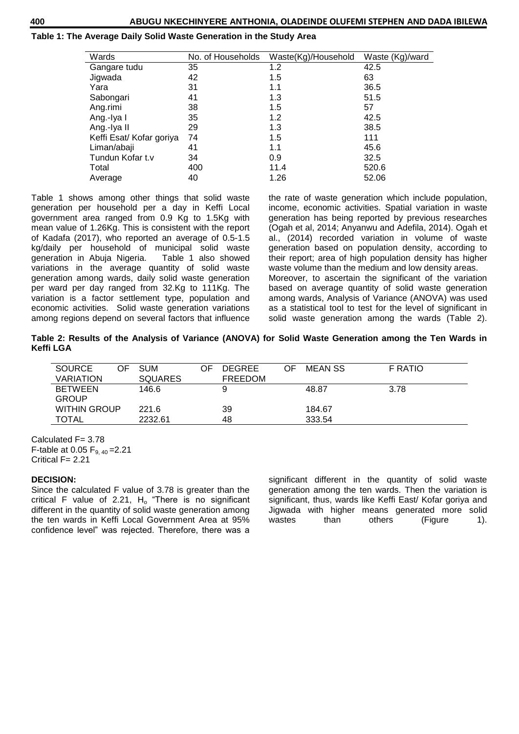# **Table 1: The Average Daily Solid Waste Generation in the Study Area**

| Wards                    | No. of Households | Waste(Kg)/Household | Waste (Kg)/ward |
|--------------------------|-------------------|---------------------|-----------------|
| Gangare tudu             | 35                | 1.2                 | 42.5            |
| Jigwada                  | 42                | 1.5                 | 63              |
| Yara                     | 31                | 1.1                 | 36.5            |
| Sabongari                | 41                | 1.3                 | 51.5            |
| Ang.rimi                 | 38                | 1.5                 | 57              |
| Ang.-Iya I               | 35                | 1.2                 | 42.5            |
| Ang.-Iya II              | 29                | 1.3                 | 38.5            |
| Keffi Esat/ Kofar goriya | 74                | 1.5                 | 111             |
| Liman/abaji              | 41                | 1.1                 | 45.6            |
| Tundun Kofar t.v         | 34                | 0.9                 | 32.5            |
| Total                    | 400               | 11.4                | 520.6           |
| Average                  | 40                | 1.26                | 52.06           |
|                          |                   |                     |                 |

Table 1 shows among other things that solid waste generation per household per a day in Keffi Local government area ranged from 0.9 Kg to 1.5Kg with mean value of 1.26Kg. This is consistent with the report of Kadafa (2017), who reported an average of 0.5-1.5 kg/daily per household of municipal solid waste generation in Abuja Nigeria. Table 1 also showed variations in the average quantity of solid waste generation among wards, daily solid waste generation per ward per day ranged from 32.Kg to 111Kg. The variation is a factor settlement type, population and economic activities. Solid waste generation variations among regions depend on several factors that influence

the rate of waste generation which include population, income, economic activities. Spatial variation in waste generation has being reported by previous researches (Ogah et al, 2014; Anyanwu and Adefila, 2014). Ogah et al., (2014) recorded variation in volume of waste generation based on population density, according to their report; area of high population density has higher waste volume than the medium and low density areas. Moreover, to ascertain the significant of the variation based on average quantity of solid waste generation among wards, Analysis of Variance (ANOVA) was used as a statistical tool to test for the level of significant in solid waste generation among the wards (Table 2).

**Table 2: Results of the Analysis of Variance (ANOVA) for Solid Waste Generation among the Ten Wards in Keffi LGA**

| <b>SOURCE</b><br><b>VARIATION</b> | OF | <b>SUM</b><br><b>SQUARES</b> | ОF | <b>DEGREE</b><br>FREEDOM | ΟF | MEAN SS | F RATIO |
|-----------------------------------|----|------------------------------|----|--------------------------|----|---------|---------|
| BETWEEN<br><b>GROUP</b>           |    | 146.6                        |    | 9                        |    | 48.87   | 3.78    |
| <b>WITHIN GROUP</b>               |    | 221.6                        |    | 39                       |    | 184.67  |         |
| <b>TOTAL</b>                      |    | 2232.61                      |    | 48                       |    | 333.54  |         |

Calculated F= 3.78 F-table at 0.05  $F_{9,40} = 2.21$ Critical F= 2.21

# **DECISION:**

Since the calculated F value of 3.78 is greater than the critical F value of 2.21,  $H_0$  "There is no significant different in the quantity of solid waste generation among the ten wards in Keffi Local Government Area at 95% confidence level" was rejected. Therefore, there was a

significant different in the quantity of solid waste generation among the ten wards. Then the variation is significant, thus, wards like Keffi East/ Kofar goriya and Jigwada with higher means generated more solid wastes than others (Figure 1).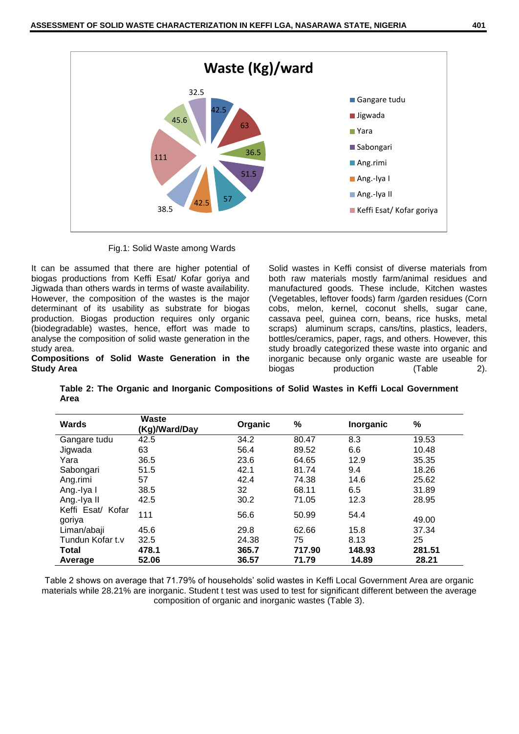

Fig.1: Solid Waste among Wards

It can be assumed that there are higher potential of biogas productions from Keffi Esat/ Kofar goriya and Jigwada than others wards in terms of waste availability. However, the composition of the wastes is the major determinant of its usability as substrate for biogas production. Biogas production requires only organic (biodegradable) wastes, hence, effort was made to analyse the composition of solid waste generation in the study area.

**Compositions of Solid Waste Generation in the Study Area**

Solid wastes in Keffi consist of diverse materials from both raw materials mostly farm/animal residues and manufactured goods. These include, Kitchen wastes (Vegetables, leftover foods) farm /garden residues (Corn cobs, melon, kernel, coconut shells, sugar cane, cassava peel, guinea corn, beans, rice husks, metal scraps) aluminum scraps, cans/tins, plastics, leaders, bottles/ceramics, paper, rags, and others. However, this study broadly categorized these waste into organic and inorganic because only organic waste are useable for biogas production (Table 2).

**Table 2: The Organic and Inorganic Compositions of Solid Wastes in Keffi Local Government Area**

| <b>Wards</b>                | Waste<br>(Kg)/Ward/Day | Organic | %      | Inorganic | $\%$   |
|-----------------------------|------------------------|---------|--------|-----------|--------|
| Gangare tudu                | 42.5                   | 34.2    | 80.47  | 8.3       | 19.53  |
| Jigwada                     | 63                     | 56.4    | 89.52  | 6.6       | 10.48  |
| Yara                        | 36.5                   | 23.6    | 64.65  | 12.9      | 35.35  |
| Sabongari                   | 51.5                   | 42.1    | 81.74  | 9.4       | 18.26  |
| Ang.rimi                    | 57                     | 42.4    | 74.38  | 14.6      | 25.62  |
| Ang.-Iya I                  | 38.5                   | 32      | 68.11  | 6.5       | 31.89  |
| Ang.-Iya II                 | 42.5                   | 30.2    | 71.05  | 12.3      | 28.95  |
| Keffi Esat/ Kofar<br>goriya | 111                    | 56.6    | 50.99  | 54.4      | 49.00  |
| Liman/abaji                 | 45.6                   | 29.8    | 62.66  | 15.8      | 37.34  |
| Tundun Kofar t.v            | 32.5                   | 24.38   | 75     | 8.13      | 25     |
| <b>Total</b>                | 478.1                  | 365.7   | 717.90 | 148.93    | 281.51 |
| Average                     | 52.06                  | 36.57   | 71.79  | 14.89     | 28.21  |

Table 2 shows on average that 71.79% of households' solid wastes in Keffi Local Government Area are organic materials while 28.21% are inorganic. Student t test was used to test for significant different between the average composition of organic and inorganic wastes (Table 3).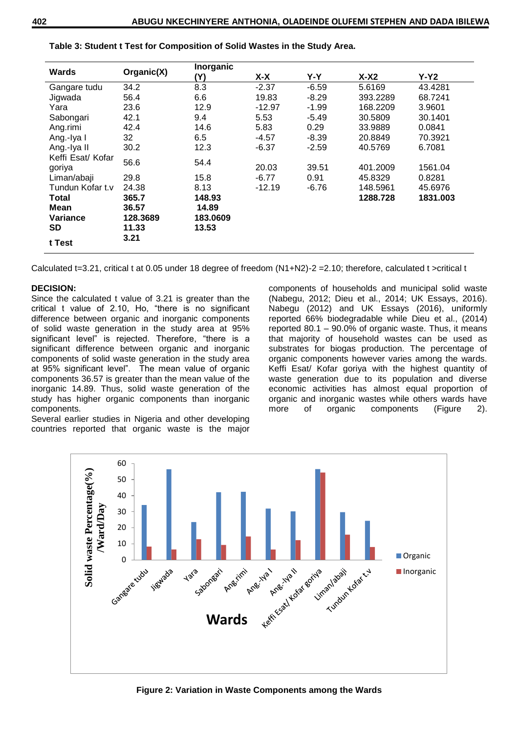| <b>Wards</b>      | Organic(X) | Inorganic |          |         |          |          |
|-------------------|------------|-----------|----------|---------|----------|----------|
|                   |            | (Y)       | X-X      | Y-Y     | $X-X2$   | $Y-Y2$   |
| Gangare tudu      | 34.2       | 8.3       | $-2.37$  | $-6.59$ | 5.6169   | 43.4281  |
| Jigwada           | 56.4       | 6.6       | 19.83    | $-8.29$ | 393.2289 | 68.7241  |
| Yara              | 23.6       | 12.9      | $-12.97$ | $-1.99$ | 168.2209 | 3.9601   |
| Sabongari         | 42.1       | 9.4       | 5.53     | $-5.49$ | 30.5809  | 30.1401  |
| Ang.rimi          | 42.4       | 14.6      | 5.83     | 0.29    | 33.9889  | 0.0841   |
| Ang.-Iya I        | 32         | 6.5       | $-4.57$  | $-8.39$ | 20.8849  | 70.3921  |
| Ang.-Iya II       | 30.2       | 12.3      | $-6.37$  | $-2.59$ | 40.5769  | 6.7081   |
| Keffi Esat/ Kofar | 56.6       | 54.4      |          |         |          |          |
| goriya            |            |           | 20.03    | 39.51   | 401.2009 | 1561.04  |
| Liman/abaji       | 29.8       | 15.8      | $-6.77$  | 0.91    | 45.8329  | 0.8281   |
| Tundun Kofar t.v  | 24.38      | 8.13      | $-12.19$ | $-6.76$ | 148.5961 | 45.6976  |
| Total             | 365.7      | 148.93    |          |         | 1288.728 | 1831.003 |
| Mean              | 36.57      | 14.89     |          |         |          |          |
| Variance          | 128.3689   | 183.0609  |          |         |          |          |
| SD                | 11.33      | 13.53     |          |         |          |          |
| t Test            | 3.21       |           |          |         |          |          |

**Table 3: Student t Test for Composition of Solid Wastes in the Study Area.**

Calculated t=3.21, critical t at 0.05 under 18 degree of freedom (N1+N2)-2 =2.10; therefore, calculated t >critical t

# **DECISION:**

Since the calculated t value of 3.21 is greater than the critical t value of 2.10, Ho, "there is no significant difference between organic and inorganic components of solid waste generation in the study area at 95% significant level" is rejected. Therefore, "there is a significant difference between organic and inorganic components of solid waste generation in the study area at 95% significant level". The mean value of organic components 36.57 is greater than the mean value of the inorganic 14.89. Thus, solid waste generation of the study has higher organic components than inorganic components.

Several earlier studies in Nigeria and other developing countries reported that organic waste is the major components of households and municipal solid waste (Nabegu, 2012; Dieu et al., 2014; UK Essays, 2016). Nabegu (2012) and UK Essays (2016), uniformly reported 66% biodegradable while Dieu et al., (2014) reported 80.1 – 90.0% of organic waste. Thus, it means that majority of household wastes can be used as substrates for biogas production. The percentage of organic components however varies among the wards. Keffi Esat/ Kofar goriya with the highest quantity of waste generation due to its population and diverse economic activities has almost equal proportion of organic and inorganic wastes while others wards have more of organic components (Figure 2).



**Figure 2: Variation in Waste Components among the Wards**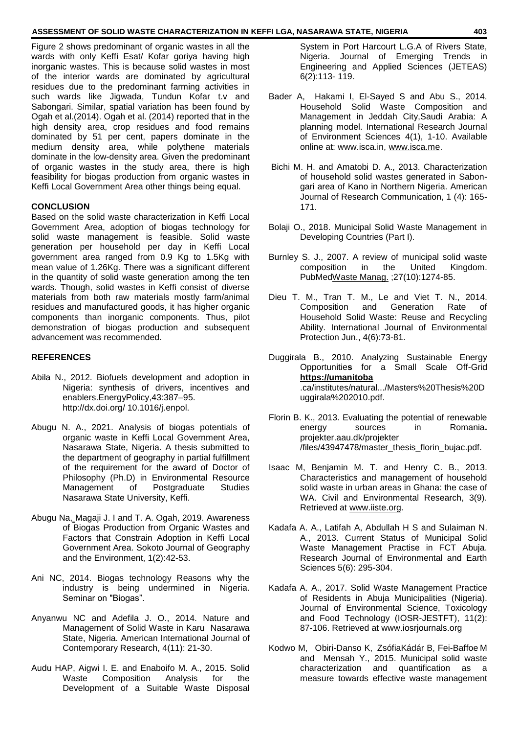Figure 2 shows predominant of organic wastes in all the wards with only Keffi Esat/ Kofar goriya having high inorganic wastes. This is because solid wastes in most of the interior wards are dominated by agricultural residues due to the predominant farming activities in such wards like Jigwada, Tundun Kofar t.v and Sabongari. Similar, spatial variation has been found by Ogah et al.(2014). Ogah et al. (2014) reported that in the high density area, crop residues and food remains dominated by 51 per cent, papers dominate in the medium density area, while polythene materials dominate in the low-density area. Given the predominant of organic wastes in the study area, there is high feasibility for biogas production from organic wastes in Keffi Local Government Area other things being equal.

# **CONCLUSION**

Based on the solid waste characterization in Keffi Local Government Area, adoption of biogas technology for solid waste management is feasible. Solid waste generation per household per day in Keffi Local government area ranged from 0.9 Kg to 1.5Kg with mean value of 1.26Kg. There was a significant different in the quantity of solid waste generation among the ten wards. Though, solid wastes in Keffi consist of diverse materials from both raw materials mostly farm/animal residues and manufactured goods, it has higher organic components than inorganic components. Thus, pilot demonstration of biogas production and subsequent advancement was recommended.

# **REFERENCES**

- Abila N., 2012. Biofuels development and adoption in Nigeria: synthesis of drivers, incentives and enablers.EnergyPolicy,43:387–95. http://dx.doi.org/ 10.1016/j.enpol.
- Abugu N. A., 2021. Analysis of biogas potentials of organic waste in Keffi Local Government Area, Nasarawa State, Nigeria. A thesis submitted to the department of geography in partial fulfillment of the requirement for the award of Doctor of Philosophy (Ph.D) in Environmental Resource<br>Management of Postgraduate Studies Management of Postgraduate Studies Nasarawa State University, Keffi.
- Abugu Na, Magaji J. I and T. A. Ogah, 2019. Awareness of Biogas Production from Organic Wastes and Factors that Constrain Adoption in Keffi Local Government Area. Sokoto Journal of Geography and the Environment, 1(2):42-53.
- Ani NC, 2014. Biogas technology Reasons why the industry is being undermined in Nigeria. Seminar on "Biogas".
- Anyanwu NC and Adefila J. O., 2014. Nature and Management of Solid Waste in Karu Nasarawa State, Nigeria. American International Journal of Contemporary Research, 4(11): 21-30.
- Audu HAP, Aigwi I. E. and Enaboifo M. A., 2015. Solid Waste Composition Analysis for the Development of a Suitable Waste Disposal

System in Port Harcourt L.G.A of Rivers State, Nigeria. Journal of Emerging Trends in Engineering and Applied Sciences (JETEAS) 6(2):113- 119.

- Bader A, Hakami I, El-Sayed S and Abu S., 2014. Household Solid Waste Composition and Management in Jeddah City,Saudi Arabia: A planning model. International Research Journal of Environment Sciences 4(1), 1-10. Available online at: www.isca.in, [www.isca.me.](http://www.isca.me/)
- Bichi M. H. and Amatobi D. A., 2013. Characterization of household solid wastes generated in Sabongari area of Kano in Northern Nigeria. American Journal of Research Communication, 1 (4): 165- 171.
- Bolaji O., 2018. Municipal Solid Waste Management in Developing Countries (Part I).
- [Burnley S. J.](https://www.ncbi.nlm.nih.gov/pubmed/?term=Burnley%20SJ%5BAuthor%5D&cauthor=true&cauthor_uid=17011771), 2007. A review of municipal solid waste composition in the United Kingdom. PubMe[dWaste Manag.](https://www.ncbi.nlm.nih.gov/pubmed/17011771) ;27(10):1274-85.
- Dieu T. M., Tran T. M., Le and Viet T. N., 2014. Composition and Generation Rate of Household Solid Waste: Reuse and Recycling Ability. International Journal of Environmental Protection Jun., 4(6):73-81.
- Duggirala B., 2010. Analyzing Sustainable Energy Opportunitie**s** for a Small Scale Off-Grid **[https://umanitoba](https://umanitoba/)** [.ca/institutes/natural.../Masters%20Thesis%20D](https://umanitoba.ca/institutes/natural.../Masters%20Thesis%20Duggirala%202010.pdf) [uggirala%202010.pdf.](https://umanitoba.ca/institutes/natural.../Masters%20Thesis%20Duggirala%202010.pdf)
- Florin B. K., 2013. Evaluating the potential of renewable energy sources in Romania**.**  projekter.aau.dk/projekter /files/43947478/master\_thesis\_florin\_bujac.pdf.
- Isaac M, Benjamin M. T. and Henry C. B., 2013. Characteristics and management of household solid waste in urban areas in Ghana: the case of WA. Civil and Environmental Research, 3(9). Retrieved at [www.iiste.org.](http://www.iiste.org/)
- Kadafa A. A., Latifah A, Abdullah H S and Sulaiman N. A., 2013. Current Status of Municipal Solid Waste Management Practise in FCT Abuja. Research Journal of Environmental and Earth Sciences 5(6): 295-304.
- Kadafa A. A., 2017. Solid Waste Management Practice of Residents in Abuja Municipalities (Nigeria). Journal of Environmental Science, Toxicology and Food Technology (IOSR-JESTFT), 11(2): 87-106. Retrieved at www.iosrjournals.org
- Kodwo M, Obiri-Danso K, ZsófiaKádár B, Fei-Baffoe M and Mensah Y., 2015. Municipal solid waste characterization and quantification as a measure towards effective waste management